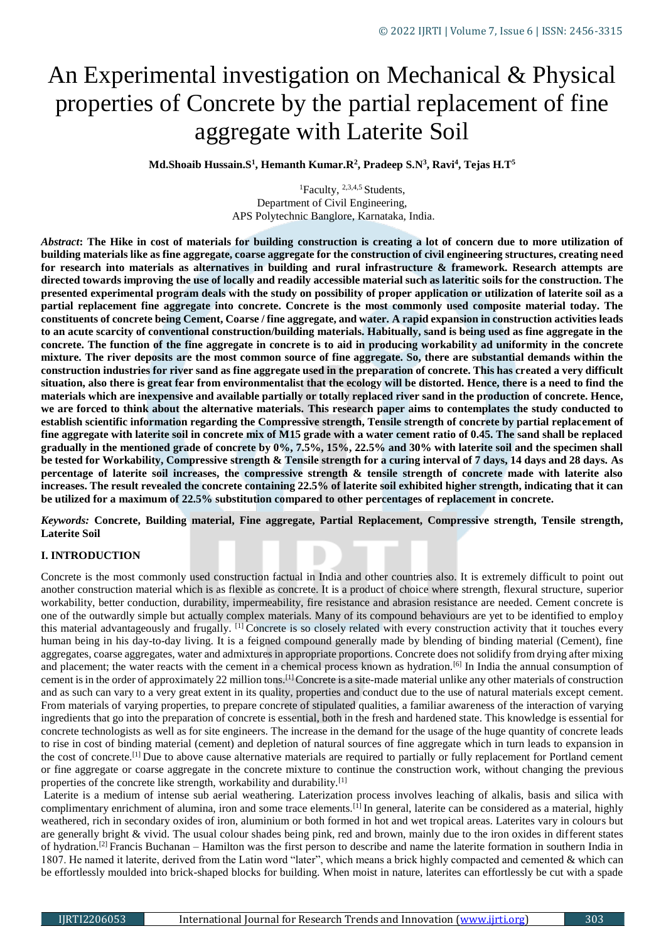# An Experimental investigation on Mechanical & Physical properties of Concrete by the partial replacement of fine aggregate with Laterite Soil

**Md.Shoaib Hussain.S<sup>1</sup> , Hemanth Kumar.R<sup>2</sup> , Pradeep S.N<sup>3</sup> , Ravi<sup>4</sup> , Tejas H.T<sup>5</sup>**

<sup>1</sup>Faculty, <sup>2,3,4,5</sup> Students, Department of Civil Engineering, APS Polytechnic Banglore, Karnataka, India.

*Abstract***: The Hike in cost of materials for building construction is creating a lot of concern due to more utilization of building materials like as fine aggregate, coarse aggregate for the construction of civil engineering structures, creating need for research into materials as alternatives in building and rural infrastructure & framework. Research attempts are directed towards improving the use of locally and readily accessible material such as lateritic soils for the construction. The presented experimental program deals with the study on possibility of proper application or utilization of laterite soil as a partial replacement fine aggregate into concrete. Concrete is the most commonly used composite material today. The constituents of concrete being Cement, Coarse / fine aggregate, and water. A rapid expansion in construction activities leads to an acute scarcity of conventional construction/building materials. Habitually, sand is being used as fine aggregate in the concrete. The function of the fine aggregate in concrete is to aid in producing workability ad uniformity in the concrete mixture. The river deposits are the most common source of fine aggregate. So, there are substantial demands within the construction industries for river sand as fine aggregate used in the preparation of concrete. This has created a very difficult situation, also there is great fear from environmentalist that the ecology will be distorted. Hence, there is a need to find the materials which are inexpensive and available partially or totally replaced river sand in the production of concrete. Hence, we are forced to think about the alternative materials. This research paper aims to contemplates the study conducted to establish scientific information regarding the Compressive strength, Tensile strength of concrete by partial replacement of fine aggregate with laterite soil in concrete mix of M15 grade with a water cement ratio of 0.45. The sand shall be replaced gradually in the mentioned grade of concrete by 0%, 7.5%, 15%, 22.5% and 30% with laterite soil and the specimen shall be tested for Workability, Compressive strength & Tensile strength for a curing interval of 7 days, 14 days and 28 days. As percentage of laterite soil increases, the compressive strength & tensile strength of concrete made with laterite also increases. The result revealed the concrete containing 22.5% of laterite soil exhibited higher strength, indicating that it can be utilized for a maximum of 22.5% substitution compared to other percentages of replacement in concrete.**

*Keywords:* **Concrete, Building material, Fine aggregate, Partial Replacement, Compressive strength, Tensile strength, Laterite Soil**

#### **I. INTRODUCTION**

Concrete is the most commonly used construction factual in India and other countries also. It is extremely difficult to point out another construction material which is as flexible as concrete. It is a product of choice where strength, flexural structure, superior workability, better conduction, durability, impermeability, fire resistance and abrasion resistance are needed. Cement concrete is one of the outwardly simple but actually complex materials. Many of its compound behaviours are yet to be identified to employ this material advantageously and frugally. [1] Concrete is so closely related with every construction activity that it touches every human being in his day-to-day living. It is a feigned compound generally made by blending of binding material (Cement), fine aggregates, coarse aggregates, water and admixtures in appropriate proportions. Concrete does not solidify from drying after mixing and placement; the water reacts with the cement in a chemical process known as hydration.<sup>[6]</sup> In India the annual consumption of cement is in the order of approximately 22 million tons.[1] Concrete is a site-made material unlike any other materials of construction and as such can vary to a very great extent in its quality, properties and conduct due to the use of natural materials except cement. From materials of varying properties, to prepare concrete of stipulated qualities, a familiar awareness of the interaction of varying ingredients that go into the preparation of concrete is essential, both in the fresh and hardened state. This knowledge is essential for concrete technologists as well as for site engineers. The increase in the demand for the usage of the huge quantity of concrete leads to rise in cost of binding material (cement) and depletion of natural sources of fine aggregate which in turn leads to expansion in the cost of concrete.<sup>[1]</sup> Due to above cause alternative materials are required to partially or fully replacement for Portland cement or fine aggregate or coarse aggregate in the concrete mixture to continue the construction work, without changing the previous properties of the concrete like strength, workability and durability.[1]

Laterite is a medium of intense sub aerial weathering. Laterization process involves leaching of alkalis, basis and silica with complimentary enrichment of alumina, iron and some trace elements.<sup>[1]</sup> In general, laterite can be considered as a material, highly weathered, rich in secondary oxides of iron, aluminium or both formed in hot and wet tropical areas. Laterites vary in colours but are generally bright & vivid. The usual colour shades being pink, red and brown, mainly due to the iron oxides in different states of hydration.[2] Francis Buchanan – Hamilton was the first person to describe and name the laterite formation in southern India in 1807. He named it laterite, derived from the Latin word "later", which means a brick highly compacted and cemented & which can be effortlessly moulded into brick-shaped blocks for building. When moist in nature, laterites can effortlessly be cut with a spade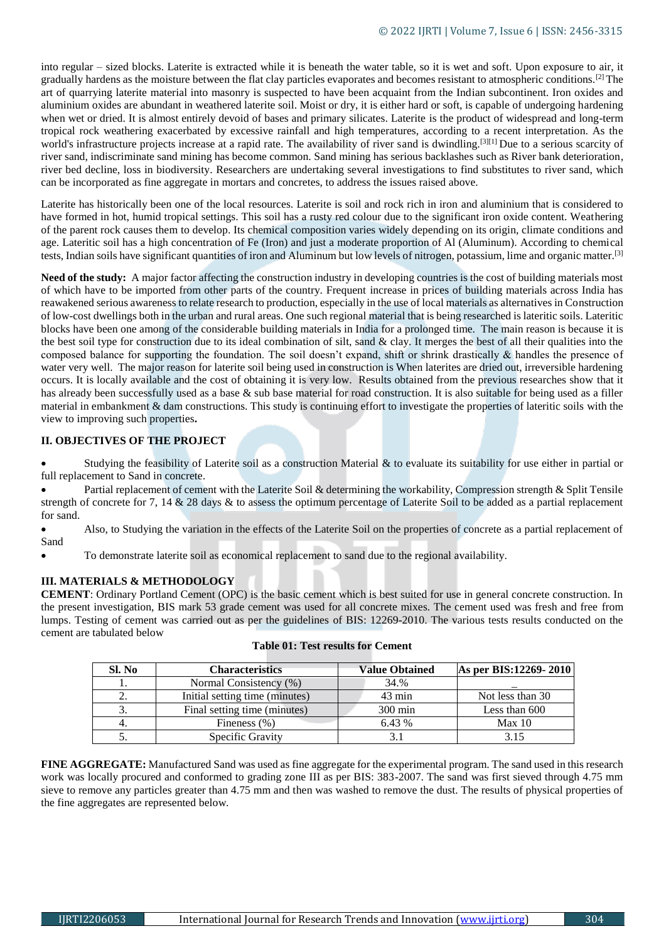into regular – sized blocks. Laterite is extracted while it is beneath the water table, so it is wet and soft. Upon exposure to air, it gradually hardens as the moisture between the flat clay particles evaporates and becomes resistant to atmospheric conditions.[2] The art of quarrying laterite material into masonry is suspected to have been acquaint from the Indian subcontinent. Iron oxides and aluminium oxides are abundant in weathered laterite soil. Moist or dry, it is either hard or soft, is capable of undergoing hardening when wet or dried. It is almost entirely devoid of bases and primary silicates. Laterite is the product of widespread and long-term tropical rock weathering exacerbated by excessive rainfall and high temperatures, according to a recent interpretation. As the world's infrastructure projects increase at a rapid rate. The availability of river sand is dwindling.<sup>[3][1]</sup> Due to a serious scarcity of river sand, indiscriminate sand mining has become common. Sand mining has serious backlashes such as River bank deterioration, river bed decline, loss in biodiversity. Researchers are undertaking several investigations to find substitutes to river sand, which can be incorporated as fine aggregate in mortars and concretes, to address the issues raised above.

Laterite has historically been one of the local resources. Laterite is soil and rock rich in iron and aluminium that is considered to have formed in hot, humid tropical settings. This soil has a rusty red colour due to the significant iron oxide content. Weathering of the parent rock causes them to develop. Its chemical composition varies widely depending on its origin, climate conditions and age. Lateritic soil has a high concentration of Fe (Iron) and just a moderate proportion of Al (Aluminum). According to chemical tests, Indian soils have significant quantities of iron and Aluminum but low levels of nitrogen, potassium, lime and organic matter.[3]

Need of the study: A major factor affecting the construction industry in developing countries is the cost of building materials most of which have to be imported from other parts of the country. Frequent increase in prices of building materials across India has reawakened serious awareness to relate research to production, especially in the use of local materials as alternatives in Construction of low-cost dwellings both in the urban and rural areas. One such regional material that is being researched is lateritic soils. Lateritic blocks have been one among of the considerable building materials in India for a prolonged time. The main reason is because it is the best soil type for construction due to its ideal combination of silt, sand  $\&$  clay. It merges the best of all their qualities into the composed balance for supporting the foundation. The soil doesn't expand, shift or shrink drastically  $\&$  handles the presence of water very well. The major reason for laterite soil being used in construction is When laterites are dried out, irreversible hardening occurs. It is locally available and the cost of obtaining it is very low. Results obtained from the previous researches show that it has already been successfully used as a base & sub base material for road construction. It is also suitable for being used as a filler material in embankment & dam constructions. This study is continuing effort to investigate the properties of lateritic soils with the view to improving such properties**.**

#### **II. OBJECTIVES OF THE PROJECT**

 Studying the feasibility of Laterite soil as a construction Material & to evaluate its suitability for use either in partial or full replacement to Sand in concrete.

Partial replacement of cement with the Laterite Soil & determining the workability, Compression strength & Split Tensile strength of concrete for 7, 14 & 28 days & to assess the optimum percentage of Laterite Soil to be added as a partial replacement for sand.

 Also, to Studying the variation in the effects of the Laterite Soil on the properties of concrete as a partial replacement of Sand

To demonstrate laterite soil as economical replacement to sand due to the regional availability.

### **III. MATERIALS & METHODOLOGY**

**CEMENT**: Ordinary Portland Cement (OPC) is the basic cement which is best suited for use in general concrete construction. In the present investigation, BIS mark 53 grade cement was used for all concrete mixes. The cement used was fresh and free from lumps. Testing of cement was carried out as per the guidelines of BIS: 12269-2010. The various tests results conducted on the cement are tabulated below

| Sl. No | <b>Characteristics</b>         | <b>Value Obtained</b> | As per BIS:12269-2010 |
|--------|--------------------------------|-----------------------|-----------------------|
|        | Normal Consistency (%)         | 34.%                  |                       |
| ۷.     | Initial setting time (minutes) | $43 \text{ min}$      | Not less than 30      |
| 3.     | Final setting time (minutes)   | $300 \text{ min}$     | Less than 600         |
| 4.     | Fineness $(\% )$               | 6.43 %                | Max 10                |
| J.     | Specific Gravity               |                       | 3.15                  |

#### **Table 01: Test results for Cement**

**FINE AGGREGATE:** Manufactured Sand was used as fine aggregate for the experimental program. The sand used in this research work was locally procured and conformed to grading zone III as per BIS: 383-2007. The sand was first sieved through 4.75 mm sieve to remove any particles greater than 4.75 mm and then was washed to remove the dust. The results of physical properties of the fine aggregates are represented below.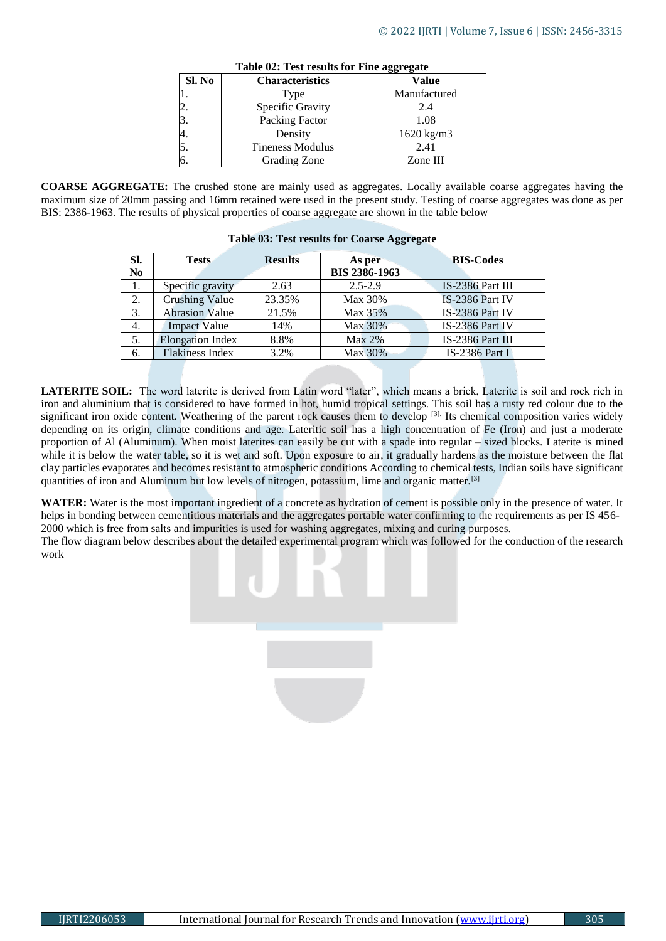| Sl. No | <b>Characteristics</b>  | <b>Value</b>          |
|--------|-------------------------|-----------------------|
|        | Type                    | Manufactured          |
| 2.     | Specific Gravity        | 2.4                   |
| 3.     | Packing Factor          | 1.08                  |
| 4.     | Density                 | $1620 \text{ kg/m}$ 3 |
| 5.     | <b>Fineness Modulus</b> | 2.41                  |
| 6.     | Grading Zone            | Zone III              |

**Table 02: Test results for Fine aggregate**

**COARSE AGGREGATE:** The crushed stone are mainly used as aggregates. Locally available coarse aggregates having the maximum size of 20mm passing and 16mm retained were used in the present study. Testing of coarse aggregates was done as per BIS: 2386-1963. The results of physical properties of coarse aggregate are shown in the table below

| Sl. | <b>Tests</b>            | <b>Results</b> | As per               | <b>BIS-Codes</b> |
|-----|-------------------------|----------------|----------------------|------------------|
| No  |                         |                | <b>BIS 2386-1963</b> |                  |
| 1.  | Specific gravity        | 2.63           | $2.5 - 2.9$          | IS-2386 Part III |
| 2.  | <b>Crushing Value</b>   | 23.35%         | Max 30%              | IS-2386 Part IV  |
| 3.  | <b>Abrasion Value</b>   | 21.5%          | Max 35%              | IS-2386 Part IV  |
| 4.  | <b>Impact Value</b>     | 14%            | Max 30%              | IS-2386 Part IV  |
| 5.  | <b>Elongation Index</b> | 8.8%           | $Max 2\%$            | IS-2386 Part III |
| 6.  | <b>Flakiness Index</b>  | 3.2%           | Max 30%              | IS-2386 Part I   |

**Table 03: Test results for Coarse Aggregate**

**LATERITE SOIL:** The word laterite is derived from Latin word "later", which means a brick, Laterite is soil and rock rich in iron and aluminium that is considered to have formed in hot, humid tropical settings. This soil has a rusty red colour due to the significant iron oxide content. Weathering of the parent rock causes them to develop <sup>[3].</sup> Its chemical composition varies widely depending on its origin, climate conditions and age. Lateritic soil has a high concentration of Fe (Iron) and just a moderate proportion of Al (Aluminum). When moist laterites can easily be cut with a spade into regular – sized blocks. Laterite is mined while it is below the water table, so it is wet and soft. Upon exposure to air, it gradually hardens as the moisture between the flat clay particles evaporates and becomes resistant to atmospheric conditions According to chemical tests, Indian soils have significant quantities of iron and Aluminum but low levels of nitrogen, potassium, lime and organic matter.<sup>[3]</sup>

**WATER:** Water is the most important ingredient of a concrete as hydration of cement is possible only in the presence of water. It helps in bonding between cementitious materials and the aggregates portable water confirming to the requirements as per IS 456- 2000 which is free from salts and impurities is used for washing aggregates, mixing and curing purposes.

The flow diagram below describes about the detailed experimental program which was followed for the conduction of the research work

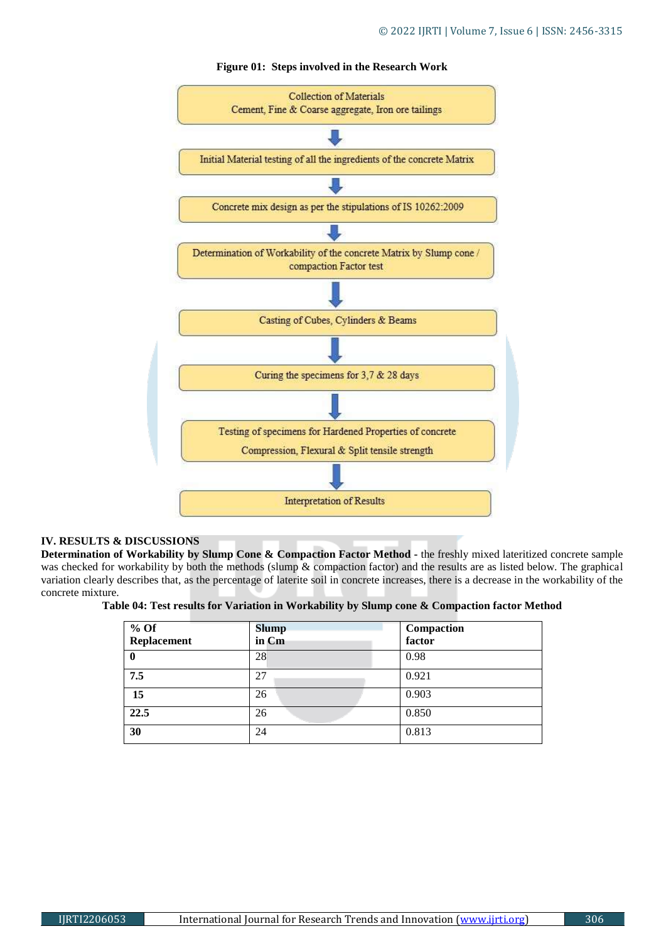

### **Figure 01: Steps involved in the Research Work**

#### **IV. RESULTS & DISCUSSIONS**

**Determination of Workability by Slump Cone & Compaction Factor Method -** the freshly mixed lateritized concrete sample was checked for workability by both the methods (slump & compaction factor) and the results are as listed below. The graphical variation clearly describes that, as the percentage of laterite soil in concrete increases, there is a decrease in the workability of the concrete mixture.

| Table 04: Test results for Variation in Workability by Slump cone & Compaction factor Method |
|----------------------------------------------------------------------------------------------|
|----------------------------------------------------------------------------------------------|

| $%$ Of<br>Replacement | <b>Slump</b><br>in Cm | Compaction<br>factor |
|-----------------------|-----------------------|----------------------|
| 0                     | 28                    | 0.98                 |
| 7.5                   | 27                    | 0.921                |
| 15                    | 26                    | 0.903                |
| 22.5                  | 26                    | 0.850                |
| 30                    | 24                    | 0.813                |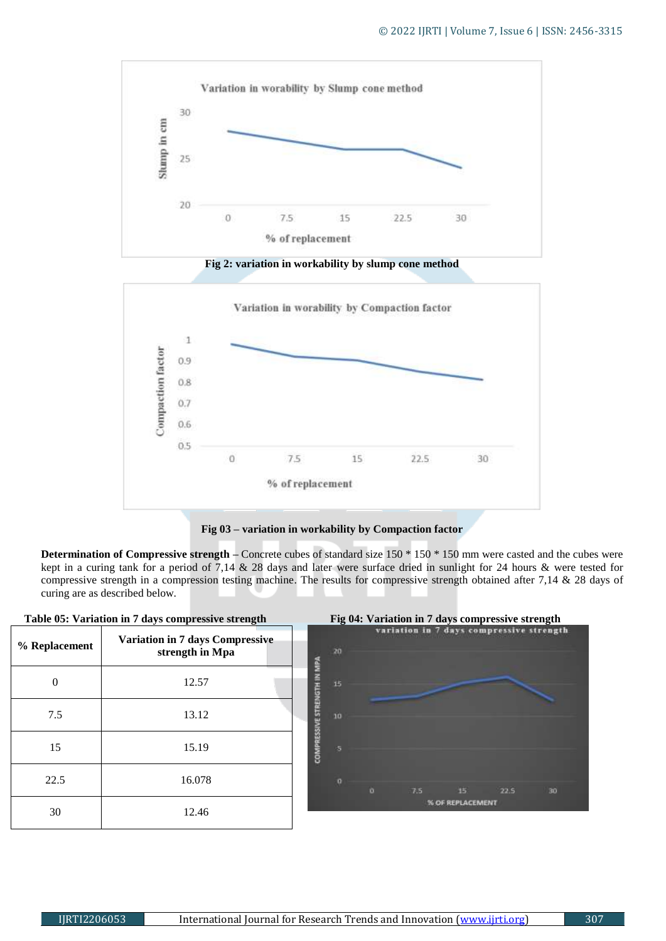

**Fig 2: variation in workability by slump cone method**



**Fig 03 – variation in workability by Compaction factor**

**Determination of Compressive strength –** Concrete cubes of standard size 150 \* 150 \* 150 mm were casted and the cubes were kept in a curing tank for a period of 7,14 & 28 days and later were surface dried in sunlight for 24 hours & were tested for compressive strength in a compression testing machine. The results for compressive strength obtained after 7,14 & 28 days of curing are as described below.

|               | Table 05: Variation in 7 days compressive strength        |                                 |   |     | Fig 04: Variation in 7 days compressive strength |      |    |
|---------------|-----------------------------------------------------------|---------------------------------|---|-----|--------------------------------------------------|------|----|
| % Replacement | <b>Variation in 7 days Compressive</b><br>strength in Mpa | 20                              |   |     | variation in 7 days compressive strength         |      |    |
| 0             | 12.57                                                     | <b>WE STRENGTH IN MPA</b><br>15 |   |     |                                                  |      |    |
| 7.5           | 13.12                                                     | 10                              |   |     |                                                  |      |    |
| 15            | 15.19                                                     | <b>COMPRESS</b><br>s            |   |     |                                                  |      |    |
| 22.5          | 16.078                                                    | o                               | o | 7.5 | 15                                               | 22.5 | 30 |
| 30            | 12.46                                                     |                                 |   |     | % OF REPLACEMENT                                 |      |    |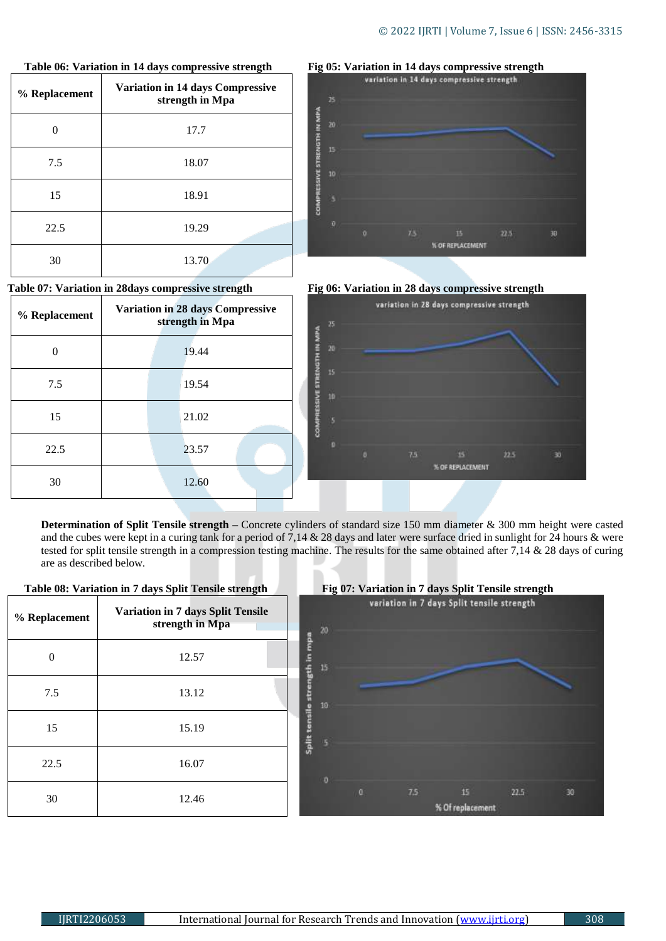| % Replacement | <b>Variation in 14 days Compressive</b><br>strength in Mpa |
|---------------|------------------------------------------------------------|
|               | 17.7                                                       |
| 7.5           | 18.07                                                      |
| 15            | 18.91                                                      |
| 22.5          | 19.29                                                      |
| 30            | 13.70                                                      |

#### **Table 06: Variation in 14 days compressive strength**

#### **Table 07: Variation in 28days compressive strength**

| % Replacement | <b>Variation in 28 days Compressive</b><br>strength in Mpa |  |
|---------------|------------------------------------------------------------|--|
|               | 19.44                                                      |  |
| 7.5           | 19.54                                                      |  |
| 15            | 21.02                                                      |  |
| 22.5          | 23.57                                                      |  |
| 30            | 12.60                                                      |  |







**Determination of Split Tensile strength –** Concrete cylinders of standard size 150 mm diameter & 300 mm height were casted and the cubes were kept in a curing tank for a period of 7,14 & 28 days and later were surface dried in sunlight for 24 hours & were tested for split tensile strength in a compression testing machine. The results for the same obtained after 7,14 & 28 days of curing are as described below.



 **Table 08: Variation in 7 days Split Tensile strength**

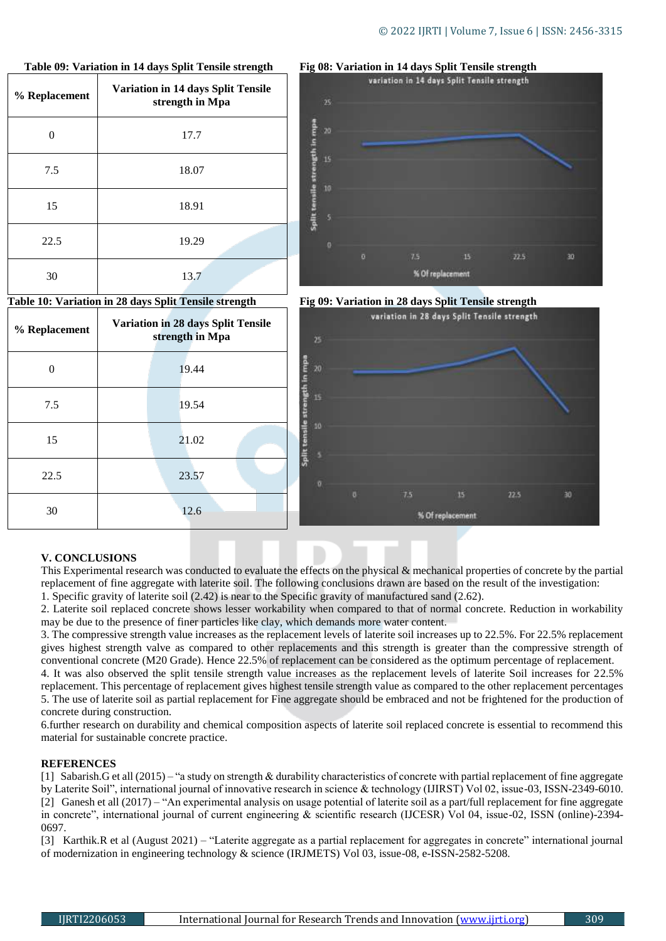| % Replacement | Twore $\sigma$ , and all $\alpha$ is a subject of $\sigma$ . The set of $\sigma$<br><b>Variation in 14 days Split Tensile</b><br>strength in Mpa |
|---------------|--------------------------------------------------------------------------------------------------------------------------------------------------|
| ∩             | 17.7                                                                                                                                             |
| 7.5           | 18.07                                                                                                                                            |
| 15            | 18.91                                                                                                                                            |
| 22.5          | 19.29                                                                                                                                            |
| 30            | 13.7                                                                                                                                             |

#### **Table 09: Variation in 14 days Split Tensile strength**

#### **Table 10: Variation in 28 days Split Tensile strength**

| % Replacement | <b>Variation in 28 days Split Tensile</b><br>strength in Mpa |
|---------------|--------------------------------------------------------------|
| 0             | 19.44                                                        |
| 7.5           | 19.54                                                        |
| 15            | 21.02                                                        |
| 22.5          | 23.57                                                        |
| 30            | 12.6                                                         |

## variation in 14 days Split Tensile strength 35 geh in mpe 1G  $\overline{t}$ 15 22.5 30 % Of replacement



**Fig 08: Variation in 14 days Split Tensile strength**



#### **V. CONCLUSIONS**

This Experimental research was conducted to evaluate the effects on the physical & mechanical properties of concrete by the partial replacement of fine aggregate with laterite soil. The following conclusions drawn are based on the result of the investigation: 1. Specific gravity of laterite soil (2.42) is near to the Specific gravity of manufactured sand (2.62).

2. Laterite soil replaced concrete shows lesser workability when compared to that of normal concrete. Reduction in workability may be due to the presence of finer particles like clay, which demands more water content.

3. The compressive strength value increases as the replacement levels of laterite soil increases up to 22.5%. For 22.5% replacement gives highest strength valve as compared to other replacements and this strength is greater than the compressive strength of conventional concrete (M20 Grade). Hence 22.5% of replacement can be considered as the optimum percentage of replacement.

4. It was also observed the split tensile strength value increases as the replacement levels of laterite Soil increases for 22.5% replacement. This percentage of replacement gives highest tensile strength value as compared to the other replacement percentages 5. The use of laterite soil as partial replacement for Fine aggregate should be embraced and not be frightened for the production of concrete during construction.

6.further research on durability and chemical composition aspects of laterite soil replaced concrete is essential to recommend this material for sustainable concrete practice.

#### **REFERENCES**

[1] Sabarish.G et all (2015) – "a study on strength & durability characteristics of concrete with partial replacement of fine aggregate by Laterite Soil", international journal of innovative research in science & technology (IJIRST) Vol 02, issue-03, ISSN-2349-6010. [2] Ganesh et all (2017) – "An experimental analysis on usage potential of laterite soil as a part/full replacement for fine aggregate in concrete", international journal of current engineering & scientific research (IJCESR) Vol 04, issue-02, ISSN (online)-2394- 0697.

[3] Karthik.R et al (August 2021) – "Laterite aggregate as a partial replacement for aggregates in concrete" international journal of modernization in engineering technology & science (IRJMETS) Vol 03, issue-08, e-ISSN-2582-5208.